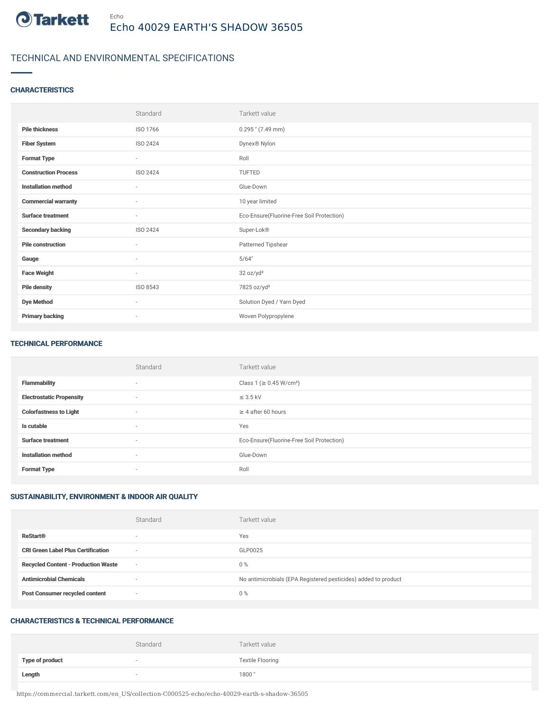

## TECHNICAL AND ENVIRONMENTAL SPECIFICATIONS

## **CHARACTERISTICS**

|                             | Standard                 | Tarkett value                             |
|-----------------------------|--------------------------|-------------------------------------------|
| <b>Pile thickness</b>       | ISO 1766                 | $0.295$ " (7.49 mm)                       |
| <b>Fiber System</b>         | ISO 2424                 | Dynex <sup>®</sup> Nylon                  |
| <b>Format Type</b>          | $\overline{\phantom{a}}$ | Roll                                      |
| <b>Construction Process</b> | ISO 2424                 | TUFTED                                    |
| <b>Installation method</b>  | ٠                        | Glue-Down                                 |
| <b>Commercial warranty</b>  | $\overline{\phantom{a}}$ | 10 year limited                           |
| <b>Surface treatment</b>    | $\sim$                   | Eco-Ensure(Fluorine-Free Soil Protection) |
| <b>Secondary backing</b>    | ISO 2424                 | Super-Lok®                                |
| <b>Pile construction</b>    | $\sim$                   | Patterned Tipshear                        |
| Gauge                       | $\sim$                   | 5/64"                                     |
| <b>Face Weight</b>          | $\overline{\phantom{a}}$ | 32 oz/yd <sup>2</sup>                     |
| <b>Pile density</b>         | ISO 8543                 | 7825 oz/yd <sup>3</sup>                   |
| <b>Dye Method</b>           | $\overline{\phantom{a}}$ | Solution Dyed / Yarn Dyed                 |
| <b>Primary backing</b>      | $\sim$                   | Woven Polypropylene                       |

#### TECHNICAL PERFORMANCE

|                                 | Standard                 | Tarkett value                             |
|---------------------------------|--------------------------|-------------------------------------------|
| <b>Flammability</b>             | $\overline{a}$           | Class 1 (≥ 0.45 W/cm <sup>2</sup> )       |
| <b>Electrostatic Propensity</b> | $\sim$                   | $\leq$ 3.5 kV                             |
| <b>Colorfastness to Light</b>   | $\overline{a}$           | $\geq$ 4 after 60 hours                   |
| Is cutable                      | $\sim$                   | Yes                                       |
| <b>Surface treatment</b>        | $\overline{\phantom{a}}$ | Eco-Ensure(Fluorine-Free Soil Protection) |
| <b>Installation method</b>      | $\sim$                   | Glue-Down                                 |
| <b>Format Type</b>              | $\sim$                   | Roll                                      |

## SUSTAINABILITY, ENVIRONMENT & INDOOR AIR QUALITY

|                                            | Standard                 | Tarkett value                                                  |
|--------------------------------------------|--------------------------|----------------------------------------------------------------|
| <b>ReStart®</b>                            | $\overline{\phantom{a}}$ | Yes                                                            |
| <b>CRI Green Label Plus Certification</b>  | $\overline{\phantom{a}}$ | GLP0025                                                        |
| <b>Recycled Content - Production Waste</b> | $\sim$                   | $0\%$                                                          |
| <b>Antimicrobial Chemicals</b>             |                          | No antimicrobials (EPA Registered pesticides) added to product |
| <b>Post Consumer recycled content</b>      | $\overline{\phantom{a}}$ | $0\%$                                                          |

#### CHARACTERISTICS & TECHNICAL PERFORMANCE

|                        | Standard                 | Tarkett value           |
|------------------------|--------------------------|-------------------------|
| <b>Type of product</b> | $\sim$                   | <b>Textile Flooring</b> |
| Length                 | $\overline{\phantom{a}}$ | 1800"                   |

https://commercial.tarkett.com/en\_US/collection-C000525-echo/echo-40029-earth-s-shadow-36505